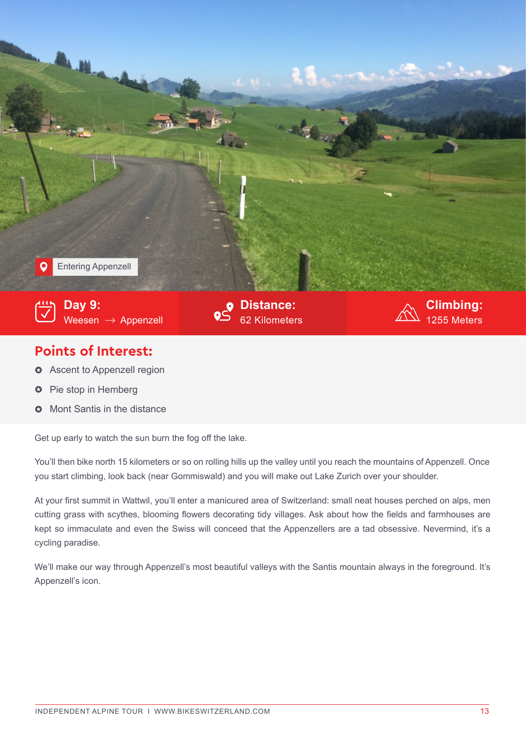

## **Points of Interest:**

- **3** Ascent to Appenzell region
- Pie stop in Hemberg  $\bullet$
- Mont Santis in the distance  $\Omega$

Get up early to watch the sun burn the fog off the lake.

You'll then bike north 15 kilometers or so on rolling hills up the valley until you reach the mountains of Appenzell. Once you start climbing, look back (near Gommiswald) and you will make out Lake Zurich over your shoulder.

At your first summit in Wattwil, you'll enter a manicured area of Switzerland: small neat houses perched on alps, men cutting grass with scythes, blooming flowers decorating tidy villages. Ask about how the fields and farmhouses are kept so immaculate and even the Swiss will conceed that the Appenzellers are a tad obsessive. Nevermind, it's a cycling paradise.

We'll make our way through Appenzell's most beautiful valleys with the Santis mountain always in the foreground. It's Appenzell's icon.